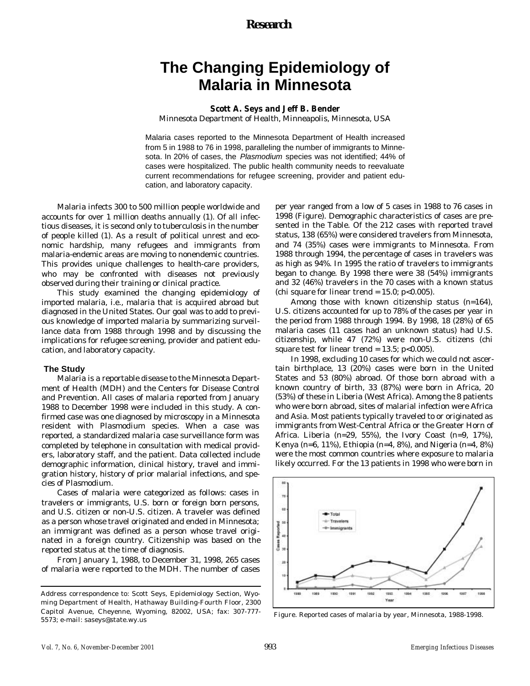## *Research*

# **The Changing Epidemiology of Malaria in Minnesota**

### **Scott A. Seys and Jeff B. Bender**

Minnesota Department of Health, Minneapolis, Minnesota, USA

Malaria cases reported to the Minnesota Department of Health increased from 5 in 1988 to 76 in 1998, paralleling the number of immigrants to Minnesota. In 20% of cases, the *Plasmodium* species was not identified; 44% of cases were hospitalized. The public health community needs to reevaluate current recommendations for refugee screening, provider and patient education, and laboratory capacity.

Malaria infects 300 to 500 million people worldwide and accounts for over 1 million deaths annually (1). Of all infectious diseases, it is second only to tuberculosis in the number of people killed (1). As a result of political unrest and economic hardship, many refugees and immigrants from malaria-endemic areas are moving to nonendemic countries. This provides unique challenges to health-care providers, who may be confronted with diseases not previously observed during their training or clinical practice.

This study examined the changing epidemiology of imported malaria, i.e., malaria that is acquired abroad but diagnosed in the United States. Our goal was to add to previous knowledge of imported malaria by summarizing surveillance data from 1988 through 1998 and by discussing the implications for refugee screening, provider and patient education, and laboratory capacity.

#### **The Study**

Malaria is a reportable disease to the Minnesota Department of Health (MDH) and the Centers for Disease Control and Prevention. All cases of malaria reported from January 1988 to December 1998 were included in this study. A confirmed case was one diagnosed by microscopy in a Minnesota resident with *Plasmodium* species. When a case was reported, a standardized malaria case surveillance form was completed by telephone in consultation with medical providers, laboratory staff, and the patient. Data collected include demographic information, clinical history, travel and immigration history, history of prior malarial infections, and species of *Plasmodium*.

Cases of malaria were categorized as follows: cases in travelers or immigrants, U.S. born or foreign born persons, and U.S. citizen or non-U.S. citizen. A traveler was defined as a person whose travel originated and ended in Minnesota; an immigrant was defined as a person whose travel originated in a foreign country. Citizenship was based on the reported status at the time of diagnosis.

From January 1, 1988, to December 31, 1998, 265 cases of malaria were reported to the MDH. The number of cases

per year ranged from a low of 5 cases in 1988 to 76 cases in 1998 (Figure). Demographic characteristics of cases are presented in the Table. Of the 212 cases with reported travel status, 138 (65%) were considered travelers from Minnesota, and 74 (35%) cases were immigrants to Minnesota. From 1988 through 1994, the percentage of cases in travelers was as high as 94%. In 1995 the ratio of travelers to immigrants began to change. By 1998 there were 38 (54%) immigrants and 32 (46%) travelers in the 70 cases with a known status (chi square for linear trend =  $15.0$ ; p<0.005).

Among those with known citizenship status (n=164), U.S. citizens accounted for up to 78% of the cases per year in the period from 1988 through 1994. By 1998, 18 (28%) of 65 malaria cases (11 cases had an unknown status) had U.S. citizenship, while 47 (72%) were non-U.S. citizens (chi square test for linear trend =  $13.5$ ; p<0.005).

In 1998, excluding 10 cases for which we could not ascertain birthplace, 13 (20%) cases were born in the United States and 53 (80%) abroad. Of those born abroad with a known country of birth, 33 (87%) were born in Africa, 20 (53%) of these in Liberia (West Africa). Among the 8 patients who were born abroad, sites of malarial infection were Africa and Asia. Most patients typically traveled to or originated as immigrants from West-Central Africa or the Greater Horn of Africa. Liberia (n=29, 55%), the Ivory Coast (n=9, 17%), Kenya (n=6, 11%), Ethiopia (n=4, 8%), and Nigeria (n=4, 8%) were the most common countries where exposure to malaria likely occurred. For the 13 patients in 1998 who were born in



Figure. Reported cases of malaria by year, Minnesota, 1988-1998.

Address correspondence to: Scott Seys, Epidemiology Section, Wyoming Department of Health, Hathaway Building-Fourth Floor, 2300 Capitol Avenue, Cheyenne, Wyoming, 82002, USA; fax: 307-777- 5573; e-mail: saseys@state.wy.us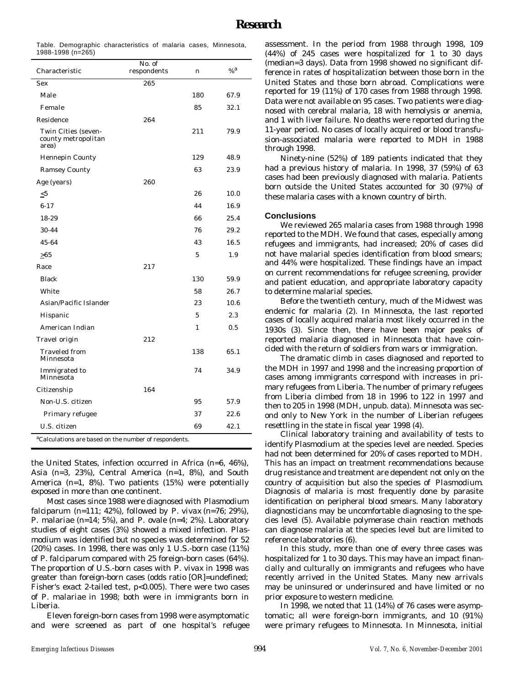|                   | Table. Demographic characteristics of malaria cases, Minnesota, |  |  |
|-------------------|-----------------------------------------------------------------|--|--|
| 1988-1998 (n=265) |                                                                 |  |  |

|                                                     | No. of      |     |                  |
|-----------------------------------------------------|-------------|-----|------------------|
| Characteristic                                      | respondents | n   | $%$ <sup>a</sup> |
| Sex                                                 | 265         |     |                  |
| Male                                                |             | 180 | 67.9             |
| Female                                              |             | 85  | 32.1             |
| Residence                                           | 264         |     |                  |
| Twin Cities (seven-<br>county metropolitan<br>area) |             | 211 | 79.9             |
| Hennepin County                                     |             | 129 | 48.9             |
| Ramsey County                                       |             | 63  | 23.9             |
| Age (years)                                         | 260         |     |                  |
| $\leq 5$                                            |             | 26  | 10.0             |
| $6 - 17$                                            |             | 44  | 16.9             |
| 18-29                                               |             | 66  | 25.4             |
| $30 - 44$                                           |             | 76  | 29.2             |
| 45-64                                               |             | 43  | 16.5             |
| $\geq 65$                                           |             | 5   | 1.9              |
| Race                                                | 217         |     |                  |
| <b>Black</b>                                        |             | 130 | 59.9             |
| White                                               |             | 58  | 26.7             |
| Asian/Pacific Islander                              |             | 23  | 10.6             |
| Hispanic                                            |             | 5   | 2.3              |
| American Indian                                     |             | 1   | 0.5              |
| Travel origin                                       | 212         |     |                  |
| Traveled from<br>Minnesota                          |             | 138 | 65.1             |
| Immigrated to<br>Minnesota                          |             | 74  | 34.9             |
| Citizenship                                         | 164         |     |                  |
| Non-U.S. citizen                                    |             | 95  | 57.9             |
| Primary refugee                                     |             | 37  | 22.6             |
| U.S. citizen                                        |             | 69  | 42.1             |
|                                                     |             |     |                  |

<sup>a</sup>Calculations are based on the number of respondents.

the United States, infection occurred in Africa (n=6, 46%), Asia (n=3, 23%), Central America (n=1, 8%), and South America (n=1, 8%). Two patients (15%) were potentially exposed in more than one continent.

Most cases since 1988 were diagnosed with *Plasmodium falciparum* (n=111; 42%), followed by *P. vivax* (n=76; 29%), *P. malariae* (n=14; 5%), and *P. ovale* (n=4; 2%). Laboratory studies of eight cases (3%) showed a mixed infection. *Plasmodium* was identified but no species was determined for 52 (20%) cases. In 1998, there was only 1 U.S.-born case (11%) of *P. falciparum* compared with 25 foreign-born cases (64%). The proportion of U.S.-born cases with *P. vivax* in 1998 was greater than foreign-born cases (odds ratio [OR]=undefined; Fisher's exact 2-tailed test, p<0.005). There were two cases of *P. malariae* in 1998; both were in immigrants born in Liberia.

Eleven foreign-born cases from 1998 were asymptomatic and were screened as part of one hospital's refugee assessment. In the period from 1988 through 1998, 109 (44%) of 245 cases were hospitalized for 1 to 30 days (median=3 days). Data from 1998 showed no significant difference in rates of hospitalization between those born in the United States and those born abroad. Complications were reported for 19 (11%) of 170 cases from 1988 through 1998. Data were not available on 95 cases. Two patients were diagnosed with cerebral malaria, 18 with hemolysis or anemia, and 1 with liver failure. No deaths were reported during the 11-year period. No cases of locally acquired or blood transfusion-associated malaria were reported to MDH in 1988 through 1998.

Ninety-nine (52%) of 189 patients indicated that they had a previous history of malaria. In 1998, 37 (59%) of 63 cases had been previously diagnosed with malaria. Patients born outside the United States accounted for 30 (97%) of these malaria cases with a known country of birth.

#### **Conclusions**

We reviewed 265 malaria cases from 1988 through 1998 reported to the MDH. We found that cases, especially among refugees and immigrants, had increased; 20% of cases did not have malarial species identification from blood smears; and 44% were hospitalized. These findings have an impact on current recommendations for refugee screening, provider and patient education, and appropriate laboratory capacity to determine malarial species.

Before the twentieth century, much of the Midwest was endemic for malaria (2). In Minnesota, the last reported cases of locally acquired malaria most likely occurred in the 1930s (3). Since then, there have been major peaks of reported malaria diagnosed in Minnesota that have coincided with the return of soldiers from wars or immigration.

The dramatic climb in cases diagnosed and reported to the MDH in 1997 and 1998 and the increasing proportion of cases among immigrants correspond with increases in primary refugees from Liberia. The number of primary refugees from Liberia climbed from 18 in 1996 to 122 in 1997 and then to 205 in 1998 (MDH, unpub. data). Minnesota was second only to New York in the number of Liberian refugees resettling in the state in fiscal year 1998 (4).

Clinical laboratory training and availability of tests to identify *Plasmodium* at the species level are needed. Species had not been determined for 20% of cases reported to MDH. This has an impact on treatment recommendations because drug resistance and treatment are dependent not only on the country of acquisition but also the species of *Plasmodium*. Diagnosis of malaria is most frequently done by parasite identification on peripheral blood smears. Many laboratory diagnosticians may be uncomfortable diagnosing to the species level (5). Available polymerase chain reaction methods can diagnose malaria at the species level but are limited to reference laboratories (6).

In this study, more than one of every three cases was hospitalized for 1 to 30 days. This may have an impact financially and culturally on immigrants and refugees who have recently arrived in the United States. Many new arrivals may be uninsured or underinsured and have limited or no prior exposure to western medicine.

In 1998, we noted that 11 (14%) of 76 cases were asymptomatic; all were foreign-born immigrants, and 10 (91%) were primary refugees to Minnesota. In Minnesota, initial